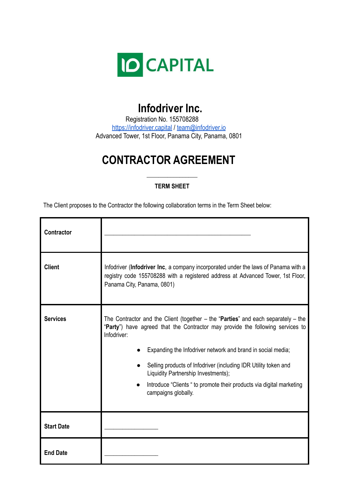

## **Infodriver Inc.**

Registration No. 155708288 <https://infodriver.capital> / [team@infodriver.io](mailto:team@infodriver.io) Advanced Tower, 1st Floor, Panama City, Panama, 0801

# **CONTRACTOR AGREEMENT**

## *\_\_\_\_\_\_\_\_\_\_\_\_\_\_\_\_\_* **TERM SHEET**

The Client proposes to the Contractor the following collaboration terms in the Term Sheet below:

| <b>Contractor</b> |                                                                                                                                                                                                                                                                                                                                                                                                                                                                |
|-------------------|----------------------------------------------------------------------------------------------------------------------------------------------------------------------------------------------------------------------------------------------------------------------------------------------------------------------------------------------------------------------------------------------------------------------------------------------------------------|
| <b>Client</b>     | Infodriver (Infodriver Inc, a company incorporated under the laws of Panama with a<br>registry code 155708288 with a registered address at Advanced Tower, 1st Floor,<br>Panama City, Panama, 0801)                                                                                                                                                                                                                                                            |
| <b>Services</b>   | The Contractor and the Client (together $-$ the "Parties" and each separately $-$ the<br>"Party") have agreed that the Contractor may provide the following services to<br>Infodriver:<br>Expanding the Infodriver network and brand in social media;<br>Selling products of Infodriver (including IDR Utility token and<br>Liquidity Partnership Investments);<br>Introduce "Clients " to promote their products via digital marketing<br>campaigns globally. |
| <b>Start Date</b> |                                                                                                                                                                                                                                                                                                                                                                                                                                                                |
| <b>End Date</b>   |                                                                                                                                                                                                                                                                                                                                                                                                                                                                |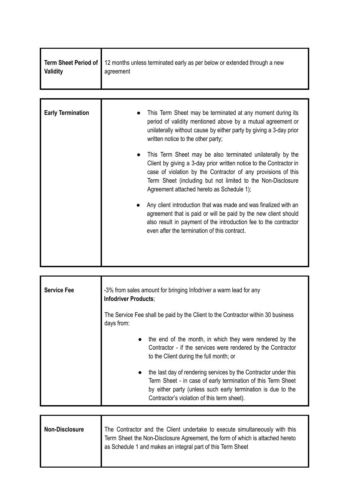| Validity | Term Sheet Period of 12 months unless terminated early as per below or extended through a new<br>agreement |
|----------|------------------------------------------------------------------------------------------------------------|
|          |                                                                                                            |

| <b>Early Termination</b> | This Term Sheet may be terminated at any moment during its<br>period of validity mentioned above by a mutual agreement or<br>unilaterally without cause by either party by giving a 3-day prior<br>written notice to the other party;                                                                         |
|--------------------------|---------------------------------------------------------------------------------------------------------------------------------------------------------------------------------------------------------------------------------------------------------------------------------------------------------------|
|                          | This Term Sheet may be also terminated unilaterally by the<br>Client by giving a 3-day prior written notice to the Contractor in<br>case of violation by the Contractor of any provisions of this<br>Term Sheet (including but not limited to the Non-Disclosure<br>Agreement attached hereto as Schedule 1); |
|                          | Any client introduction that was made and was finalized with an<br>agreement that is paid or will be paid by the new client should<br>also result in payment of the introduction fee to the contractor<br>even after the termination of this contract.                                                        |

| <b>Service Fee</b> | -3% from sales amount for bringing Infodriver a warm lead for any<br><b>Infodriver Products:</b><br>The Service Fee shall be paid by the Client to the Contractor within 30 business<br>days from:                                             |  |  |
|--------------------|------------------------------------------------------------------------------------------------------------------------------------------------------------------------------------------------------------------------------------------------|--|--|
|                    | • the end of the month, in which they were rendered by the<br>Contractor - if the services were rendered by the Contractor<br>to the Client during the full month; or                                                                          |  |  |
|                    | the last day of rendering services by the Contractor under this<br>Term Sheet - in case of early termination of this Term Sheet<br>by either party (unless such early termination is due to the<br>Contractor's violation of this term sheet). |  |  |

| <b>Non-Disclosure</b> | The Contractor and the Client undertake to execute simultaneously with this<br>Term Sheet the Non-Disclosure Agreement, the form of which is attached hereto<br>as Schedule 1 and makes an integral part of this Term Sheet |
|-----------------------|-----------------------------------------------------------------------------------------------------------------------------------------------------------------------------------------------------------------------------|
|                       |                                                                                                                                                                                                                             |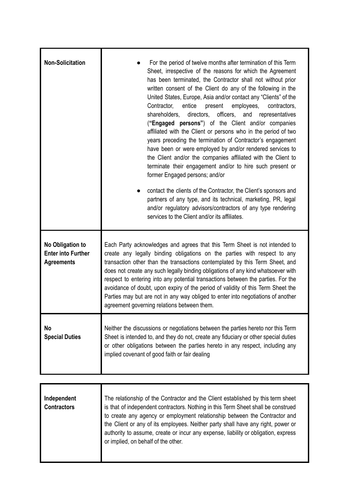| <b>Non-Solicitation</b>                                            | For the period of twelve months after termination of this Term<br>Sheet, irrespective of the reasons for which the Agreement<br>has been terminated, the Contractor shall not without prior<br>written consent of the Client do any of the following in the<br>United States, Europe, Asia and/or contact any "Clients" of the<br>entice<br>employees,<br>Contractor,<br>present<br>contractors,<br>shareholders.<br>officers,<br>directors,<br>and representatives<br>("Engaged persons") of the Client and/or companies<br>affiliated with the Client or persons who in the period of two<br>years preceding the termination of Contractor's engagement<br>have been or were employed by and/or rendered services to<br>the Client and/or the companies affiliated with the Client to<br>terminate their engagement and/or to hire such present or<br>former Engaged persons; and/or<br>contact the clients of the Contractor, the Client's sponsors and<br>partners of any type, and its technical, marketing, PR, legal<br>and/or regulatory advisors/contractors of any type rendering<br>services to the Client and/or its affiliates. |  |
|--------------------------------------------------------------------|----------------------------------------------------------------------------------------------------------------------------------------------------------------------------------------------------------------------------------------------------------------------------------------------------------------------------------------------------------------------------------------------------------------------------------------------------------------------------------------------------------------------------------------------------------------------------------------------------------------------------------------------------------------------------------------------------------------------------------------------------------------------------------------------------------------------------------------------------------------------------------------------------------------------------------------------------------------------------------------------------------------------------------------------------------------------------------------------------------------------------------------------|--|
| No Obligation to<br><b>Enter into Further</b><br><b>Agreements</b> | Each Party acknowledges and agrees that this Term Sheet is not intended to<br>create any legally binding obligations on the parties with respect to any<br>transaction other than the transactions contemplated by this Term Sheet, and<br>does not create any such legally binding obligations of any kind whatsoever with<br>respect to entering into any potential transactions between the parties. For the<br>avoidance of doubt, upon expiry of the period of validity of this Term Sheet the<br>Parties may but are not in any way obliged to enter into negotiations of another<br>agreement governing relations between them.                                                                                                                                                                                                                                                                                                                                                                                                                                                                                                       |  |
| No<br><b>Special Duties</b>                                        | Neither the discussions or negotiations between the parties hereto nor this Term<br>Sheet is intended to, and they do not, create any fiduciary or other special duties<br>or other obligations between the parties hereto in any respect, including any<br>implied covenant of good faith or fair dealing                                                                                                                                                                                                                                                                                                                                                                                                                                                                                                                                                                                                                                                                                                                                                                                                                                   |  |
|                                                                    |                                                                                                                                                                                                                                                                                                                                                                                                                                                                                                                                                                                                                                                                                                                                                                                                                                                                                                                                                                                                                                                                                                                                              |  |
| Independent<br><b>Contractors</b>                                  | The relationship of the Contractor and the Client established by this term sheet<br>is that of independent contractors. Nothing in this Term Sheet shall be construed<br>to create any agency or employment relationship between the Contractor and<br>the Client or any of its employees. Neither party shall have any right, power or<br>authority to assume, create or incur any expense, liability or obligation, express<br>or implied, on behalf of the other.                                                                                                                                                                                                                                                                                                                                                                                                                                                                                                                                                                                                                                                                         |  |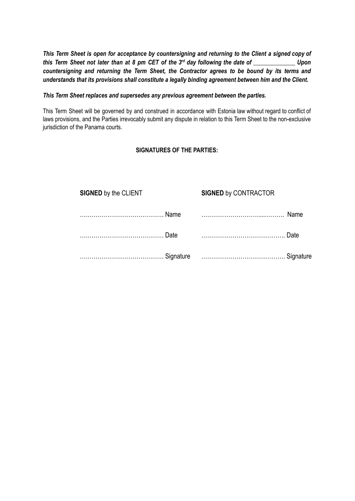This Term Sheet is open for acceptance by countersigning and returning to the Client a signed copy of this Term Sheet not later than at 8 pm CET of the  $3^{rd}$  day following the date of \_\_\_\_\_\_\_\_\_\_\_\_\_\_\_\_ Upon *countersigning and returning the Term Sheet, the Contractor agrees to be bound by its terms and understands that its provisions shall constitute a legally binding agreement between him and the Client.*

## *This Term Sheet replaces and supersedes any previous agreement between the parties.*

This Term Sheet will be governed by and construed in accordance with Estonia law without regard to conflict of laws provisions, and the Parties irrevocably submit any dispute in relation to this Term Sheet to the non-exclusive jurisdiction of the Panama courts.

## **SIGNATURES OF THE PARTIES:**

| <b>SIGNED by the CLIENT</b> |       | <b>SIGNED by CONTRACTOR</b> |      |
|-----------------------------|-------|-----------------------------|------|
|                             | Name  |                             | Name |
|                             | Date. |                             | Date |
|                             |       |                             |      |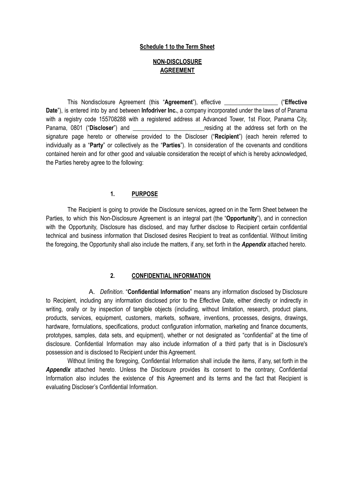#### **Schedule 1 to the Term Sheet**

## **NON-DISCLOSURE AGREEMENT**

This Nondisclosure Agreement (this "**Agreement**"), effective *\_\_\_\_\_\_\_\_\_\_\_\_\_\_\_\_\_\_* ("**Effective Date**"), is entered into by and between **Infodriver Inc.**, a company incorporated under the laws of of Panama with a registry code 155708288 with a registered address at Advanced Tower, 1st Floor, Panama City, Panama, 0801 ("Discloser") and **the address** set forth on the signature page hereto or otherwise provided to the Discloser ("**Recipient**") (each herein referred to individually as a "**Party**" or collectively as the "**Parties**"). In consideration of the covenants and conditions contained herein and for other good and valuable consideration the receipt of which is hereby acknowledged, the Parties hereby agree to the following:

## **1. PURPOSE**

The Recipient is going to provide the Disclosure services, agreed on in the Term Sheet between the Parties, to which this Non-Disclosure Agreement is an integral part (the "**Opportunity**"), and in connection with the Opportunity, Disclosure has disclosed, and may further disclose to Recipient certain confidential technical and business information that Disclosed desires Recipient to treat as confidential. Without limiting the foregoing, the Opportunity shall also include the matters, if any, set forth in the *Appendix* attached hereto.

## **2. CONFIDENTIAL INFORMATION**

A. *Definition*. "**Confidential Information**" means any information disclosed by Disclosure to Recipient, including any information disclosed prior to the Effective Date, either directly or indirectly in writing, orally or by inspection of tangible objects (including, without limitation, research, product plans, products, services, equipment, customers, markets, software, inventions, processes, designs, drawings, hardware, formulations, specifications, product configuration information, marketing and finance documents, prototypes, samples, data sets, and equipment), whether or not designated as "confidential" at the time of disclosure. Confidential Information may also include information of a third party that is in Disclosure's possession and is disclosed to Recipient under this Agreement.

Without limiting the foregoing, Confidential Information shall include the items, if any, set forth in the *Appendix* attached hereto. Unless the Disclosure provides its consent to the contrary, Confidential Information also includes the existence of this Agreement and its terms and the fact that Recipient is evaluating Discloser's Confidential Information.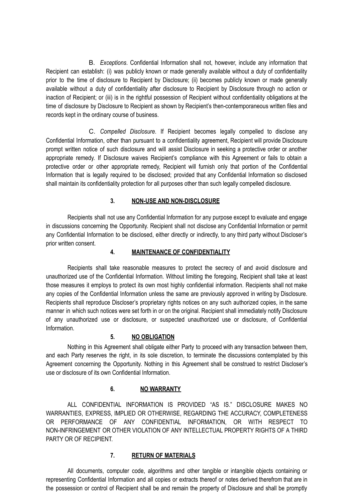B. *Exceptions*. Confidential Information shall not, however, include any information that Recipient can establish: (i) was publicly known or made generally available without a duty of confidentiality prior to the time of disclosure to Recipient by Disclosure; (ii) becomes publicly known or made generally available without a duty of confidentiality after disclosure to Recipient by Disclosure through no action or inaction of Recipient; or (iii) is in the rightful possession of Recipient without confidentiality obligations at the time of disclosure by Disclosure to Recipient as shown by Recipient's then-contemporaneous written files and records kept in the ordinary course of business.

C. *Compelled Disclosure*. If Recipient becomes legally compelled to disclose any Confidential Information, other than pursuant to a confidentiality agreement, Recipient will provide Disclosure prompt written notice of such disclosure and will assist Disclosure in seeking a protective order or another appropriate remedy. If Disclosure waives Recipient's compliance with this Agreement or fails to obtain a protective order or other appropriate remedy, Recipient will furnish only that portion of the Confidential Information that is legally required to be disclosed; provided that any Confidential Information so disclosed shall maintain its confidentiality protection for all purposes other than such legally compelled disclosure.

## **3. NON-USE AND NON-DISCLOSURE**

Recipients shall not use any Confidential Information for any purpose except to evaluate and engage in discussions concerning the Opportunity. Recipient shall not disclose any Confidential Information or permit any Confidential Information to be disclosed, either directly or indirectly, to any third party without Discloser's prior written consent.

## **4. MAINTENANCE OF CONFIDENTIALITY**

Recipients shall take reasonable measures to protect the secrecy of and avoid disclosure and unauthorized use of the Confidential Information. Without limiting the foregoing, Recipient shall take at least those measures it employs to protect its own most highly confidential information. Recipients shall not make any copies of the Confidential Information unless the same are previously approved in writing by Disclosure. Recipients shall reproduce Discloser's proprietary rights notices on any such authorized copies, in the same manner in which such notices were set forth in or on the original. Recipient shall immediately notify Disclosure of any unauthorized use or disclosure, or suspected unauthorized use or disclosure, of Confidential Information.

## **5. NO OBLIGATION**

Nothing in this Agreement shall obligate either Party to proceed with any transaction between them, and each Party reserves the right, in its sole discretion, to terminate the discussions contemplated by this Agreement concerning the Opportunity. Nothing in this Agreement shall be construed to restrict Discloser's use or disclosure of its own Confidential Information.

## **6. NO WARRANTY**

ALL CONFIDENTIAL INFORMATION IS PROVIDED "AS IS." DISCLOSURE MAKES NO WARRANTIES, EXPRESS, IMPLIED OR OTHERWISE, REGARDING THE ACCURACY, COMPLETENESS OR PERFORMANCE OF ANY CONFIDENTIAL INFORMATION, OR WITH RESPECT TO NON-INFRINGEMENT OR OTHER VIOLATION OF ANY INTELLECTUAL PROPERTY RIGHTS OF A THIRD PARTY OR OF RECIPIENT.

## **7. RETURN OF MATERIALS**

All documents, computer code, algorithms and other tangible or intangible objects containing or representing Confidential Information and all copies or extracts thereof or notes derived therefrom that are in the possession or control of Recipient shall be and remain the property of Disclosure and shall be promptly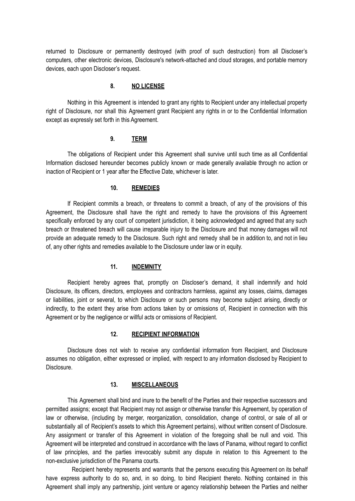returned to Disclosure or permanently destroyed (with proof of such destruction) from all Discloser's computers, other electronic devices, Disclosure's network-attached and cloud storages, and portable memory devices, each upon Discloser's request.

## **8. NO LICENSE**

Nothing in this Agreement is intended to grant any rights to Recipient under any intellectual property right of Disclosure, nor shall this Agreement grant Recipient any rights in or to the Confidential Information except as expressly set forth in this Agreement.

## **9. TERM**

The obligations of Recipient under this Agreement shall survive until such time as all Confidential Information disclosed hereunder becomes publicly known or made generally available through no action or inaction of Recipient or 1 year after the Effective Date, whichever is later.

## **10. REMEDIES**

If Recipient commits a breach, or threatens to commit a breach, of any of the provisions of this Agreement, the Disclosure shall have the right and remedy to have the provisions of this Agreement specifically enforced by any court of competent jurisdiction, it being acknowledged and agreed that any such breach or threatened breach will cause irreparable injury to the Disclosure and that money damages will not provide an adequate remedy to the Disclosure. Such right and remedy shall be in addition to, and not in lieu of, any other rights and remedies available to the Disclosure under law or in equity.

#### **11. INDEMNITY**

Recipient hereby agrees that, promptly on Discloser's demand, it shall indemnify and hold Disclosure, its officers, directors, employees and contractors harmless, against any losses, claims, damages or liabilities, joint or several, to which Disclosure or such persons may become subject arising, directly or indirectly, to the extent they arise from actions taken by or omissions of, Recipient in connection with this Agreement or by the negligence or willful acts or omissions of Recipient.

#### **12. RECIPIENT INFORMATION**

Disclosure does not wish to receive any confidential information from Recipient, and Disclosure assumes no obligation, either expressed or implied, with respect to any information disclosed by Recipient to Disclosure.

## **13. MISCELLANEOUS**

This Agreement shall bind and inure to the benefit of the Parties and their respective successors and permitted assigns; except that Recipient may not assign or otherwise transfer this Agreement, by operation of law or otherwise, (including by merger, reorganization, consolidation, change of control, or sale of all or substantially all of Recipient's assets to which this Agreement pertains), without written consent of Disclosure. Any assignment or transfer of this Agreement in violation of the foregoing shall be null and void. This Agreement will be interpreted and construed in accordance with the laws of Panama, without regard to conflict of law principles, and the parties irrevocably submit any dispute in relation to this Agreement to the non-exclusive jurisdiction of the Panama courts.

Recipient hereby represents and warrants that the persons executing this Agreement on its behalf have express authority to do so, and, in so doing, to bind Recipient thereto. Nothing contained in this Agreement shall imply any partnership, joint venture or agency relationship between the Parties and neither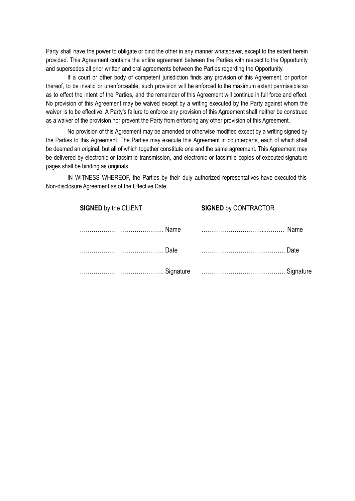Party shall have the power to obligate or bind the other in any manner whatsoever, except to the extent herein provided. This Agreement contains the entire agreement between the Parties with respect to the Opportunity and supersedes all prior written and oral agreements between the Parties regarding the Opportunity.

If a court or other body of competent jurisdiction finds any provision of this Agreement, or portion thereof, to be invalid or unenforceable, such provision will be enforced to the maximum extent permissible so as to effect the intent of the Parties, and the remainder of this Agreement will continue in full force and effect. No provision of this Agreement may be waived except by a writing executed by the Party against whom the waiver is to be effective. A Party's failure to enforce any provision of this Agreement shall neither be construed as a waiver of the provision nor prevent the Party from enforcing any other provision of this Agreement.

No provision of this Agreement may be amended or otherwise modified except by a writing signed by the Parties to this Agreement. The Parties may execute this Agreement in counterparts, each of which shall be deemed an original, but all of which together constitute one and the same agreement. This Agreement may be delivered by electronic or facsimile transmission, and electronic or facsimile copies of executed signature pages shall be binding as originals.

IN WITNESS WHEREOF, the Parties by their duly authorized representatives have executed this Non-disclosure Agreement as of the Effective Date.

| <b>SIGNED by the CLIENT</b> |      | <b>SIGNED by CONTRACTOR</b> |             |
|-----------------------------|------|-----------------------------|-------------|
|                             | Name |                             | <b>Name</b> |
|                             | Date |                             | Date        |
|                             |      |                             |             |